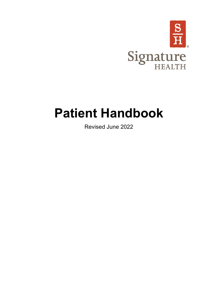

# **Patient Handbook**

Revised June 2022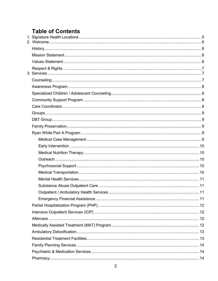# **Table of Contents**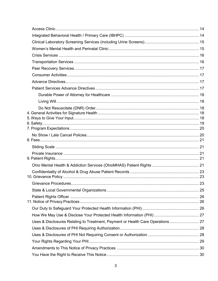| Uses & Disclosures Relating to Treatment, Payment or Health Care Operations  27 |  |
|---------------------------------------------------------------------------------|--|
|                                                                                 |  |
|                                                                                 |  |
|                                                                                 |  |
|                                                                                 |  |
|                                                                                 |  |
|                                                                                 |  |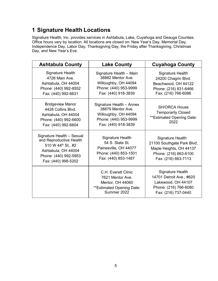# <span id="page-4-0"></span>**1 Signature Health Locations**

Signature Health, Inc. provides services in Ashtabula, Lake, Cuyahoga and Geauga Counties. Office hours vary by location. All locations are closed on: New Year's Day, Memorial Day, Independence Day, Labor Day, Thanksgiving Day, the Friday after Thanksgiving, Christmas Day, and New Year's Eve.

| <b>Ashtabula County</b>                                                                                                                           | <b>Lake County</b>                                                                                                    | <b>Cuyahoga County</b>                                                                                                    |
|---------------------------------------------------------------------------------------------------------------------------------------------------|-----------------------------------------------------------------------------------------------------------------------|---------------------------------------------------------------------------------------------------------------------------|
| <b>Signature Health</b><br>4726 Main Ave.<br>Ashtabula, OH 44004<br>Phone: (440) 992-8552<br>Fax: (440) 992-6631                                  | Signature Health - Main<br>38882 Mentor Ave.<br>Willoughby, OH 44094<br>Phone: (440) 953-9999<br>Fax: (440) 918-3839  | <b>Signature Health</b><br>24200 Chagrin Blvd.<br>Beachwood, OH 44122<br>Phone: (216) 831-6466<br>Fax: (216) 766-6086     |
| <b>Bridgeview Manor</b><br>4428 Collins Blvd.<br>Ashtabula, OH 44004<br>Phone: (440) 992-6600<br>Fax: (440) 992-6604                              | Signature Health - Annex<br>38879 Mentor Ave.<br>Willoughby, OH 44094<br>Phone: (440) 953-9999<br>Fax: (440) 918-3839 | <b>SH/ORCA House</b><br><b>Temporarily Closed</b><br>**Estimated Opening Date:<br>2022                                    |
| Signature Health - Sexual<br>and Reproductive Health<br>510 W 44th St., #2<br>Ashtabula, OH 44004<br>Phone: (440) 992-5953<br>Fax: (440) 998-5202 | <b>Signature Health</b><br>54 S. State St.<br>Painesville, OH 44077<br>Phone: (440) 853-1501<br>Fax: (440) 853-1487   | Signature Health<br>21100 Southgate Park Blvd.<br>Maple Heights, OH 44137<br>Phone: (216) 663-6100<br>Fax: (216) 663-7113 |
|                                                                                                                                                   | C.H. Everett Clinic<br>7621 Mentor Ave.<br>Mentor, OH 44060<br>**Estimated Opening Date:<br>Summer 2022               | Signature Health<br>14701 Detroit Ave., #620<br>Lakewood, OH 44107<br>Phone: (216) 766-6080<br>Fax: (216) 737-0440        |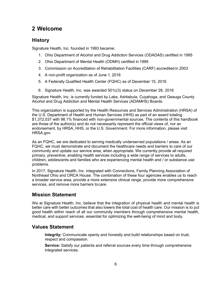# <span id="page-5-0"></span>**2 Welcome**

### <span id="page-5-1"></span>**History**

Signature Health, Inc. founded in 1993 became:

- 1. Ohio Department of Alcohol and Drug Addiction Services (ODADAS) certified in 1995
- 2. Ohio Department of Mental Health (ODMH) certified in 1999
- 3. Commission on Accreditation of Rehabilitation Facilities (CARF) accredited in 2003
- 4. A non-profit organization as of June 1, 2016
- 5. A Federally Qualified Health Center (FQHC) as of December 15, 2016
- 6. Signature Health, Inc. was awarded 501c(3) status on December 28, 2016

Signature Health, Inc. is currently funded by Lake, Ashtabula, Cuyahoga, and Geauga County Alcohol and Drug Addiction and Mental Health Services (ADAMHS) Boards.

This organization is supported by the Health Resources and Services Administration (HRSA) of the U.S. Department of Health and Human Services (HHS) as part of an award totaling \$1,372,037 with 98.1% financed with non-governmental sources. The contents of this handbook are those of the author(s) and do not necessarily represent the official views of, nor an endorsement, by HRSA, HHS, or the U.S. Government. For more information, please visit HRSA.gov.

As an FQHC, we are dedicated to serving medically underserved populations / areas. As an FQHC, we must demonstrate and document the healthcare needs and barriers to care of our community and update our service area, when appropriate. We currently provide all required primary, preventive, enabling health services including a wide range of services to adults, children, adolescents and families who are experiencing mental health and / or substance use problems.

In 2017, Signature Health, Inc. integrated with Connections, Family Planning Association of Northeast Ohio and ORCA House. The combination of these four agencies enables us to reach a broader service area, provide a more extensive clinical range, provide more comprehensive services, and remove more barriers tocare.

### <span id="page-5-2"></span>**Mission Statement**

We at Signature Health, Inc. believe that the integration of physical health and mental health is better care with better outcomes that also lowers the total cost of health care. Our mission is to put good health within reach of all our community members through comprehensive mental health, medical, and support services, essential for optimizing the well-being of mind and body.

### <span id="page-5-3"></span>**Values Statement**

**Integrity:** Communicate openly and honestly and build relationships based on trust, respect and compassion.

**Service:** Satisfy our patients and referral sources every time through comprehensive integrated services.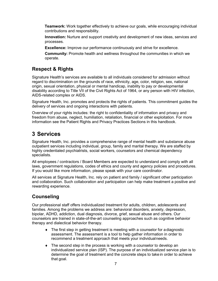**Teamwork:** Work together effectively to achieve our goals, while encouraging individual contributions and responsibility.

**Innovation:** Nurture and support creativity and development of new ideas, services and processes.

**Excellence:** Improve our performance continuously and strive for excellence.

**Community:** Promote health and wellness throughout the communities in which we operate.

### <span id="page-6-0"></span>**Respect & Rights**

Signature Health's services are available to all individuals considered for admission without regard to discrimination on the grounds of race, ethnicity, age, color, religion, sex, national origin, sexual orientation, physical or mental handicap, inability to pay or developmental disability according to Title VII of the Civil Rights Act of 1964, or any person with HIV infection, AIDS-related complex or AIDS.

Signature Health, Inc. promotes and protects the rights of patients. This commitment guides the delivery of services and ongoing interactions with patients.

Overview of your rights includes: the right to confidentiality of information and privacy and freedom from abuse, neglect, humiliation, retaliation, financial or other exploitation. For more information see the Patient Rights and Privacy Practices Sections in this handbook.

# <span id="page-6-1"></span>**3 Services**

Signature Health, Inc. provides a comprehensive range of mental health and substance abuse outpatient services including individual, group, family and marital therapy. We are staffed by highly credentialed psychiatrists, social workers, counselors and chemical dependency specialists.

All employees / contractors / Board Members are expected to understand and comply with all laws, government regulations, codes of ethics and county and agency policies and procedures. If you would like more information, please speak with your care coordinator.

All services at Signature Health, Inc. rely on patient and family / significant other participation and collaboration. Such collaboration and participation can help make treatment a positive and rewarding experience.

### <span id="page-6-2"></span>**Counseling**

Our professional staff offers individualized treatment for adults, children, adolescents and families. Among the problems we address are: behavioral disorders, anxiety, depression, bipolar, ADHD, addiction, dual diagnosis, divorce, grief, sexual abuse and others. Our counselors are trained in state-of-the-art counseling approaches such as cognitive behavior therapy and dialectical behavior therapy.

- $\bullet$  The first step in getting treatment is meeting with a counselor for a diagnostic assessment. The assessment is a tool to help gather information in order to recommend a treatment approach that meets your individualneeds.
- ♦ The second step in the process is working with a counselor to develop an individualized service plan (ISP). The purpose of an individualized service plan is to determine the goal of treatment and the concrete steps to take in order to achieve that goal.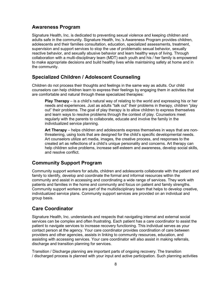### <span id="page-7-0"></span>**Awareness Program**

Signature Health, Inc. is dedicated to preventing sexual violence and keeping children and adults safe in the community. Signature Health, Inc.'s Awareness Program provides children, adolescents and their families consultation, education, specialized assessments, treatment, supervision and support services to stop the use of problematic sexual behavior, sexually reactive behavior, and sexually abusive behavior and learn healthy ways of living. Through collaboration with a multi-disciplinary team (MDT) each youth and his / her family is empowered to make appropriate decisions and build healthy lives while maintaining safety at home and in the community.

### <span id="page-7-1"></span>**Specialized Children / Adolescent Counseling**

Children do not process their thoughts and feelings in the same way as adults. Our child counselors can help children learn to express their feelings by engaging them in activities that are comfortable and natural through these specialized therapies:

**Play Therapy** – is a child's natural way of relating to the world and expressing his or her needs and experiences. Just as adults "talk out" their problems in therapy, children "play out" their problems. The goal of play therapy is to allow children to express themselves and learn ways to resolve problems through the context of play. Counselors meet regularly with the parents to collaborate, educate and involve the family in the individualized service planning.

**Art Therapy** – helps children and adolescents express themselves in ways that are nonthreatening, using tools that are designed for the child's specific developmental needs. Art counselors utilize art media, images, the creative process, and responses to the created art as reflections of a child's unique personality and concerns. Art therapy can help children solve problems, increase self-esteem and awareness, develop social skills, and resolve conflict.

### <span id="page-7-2"></span>**Community Support Program**

Community support workers for adults, children and adolescents collaborate with the patient and family to identify, develop and coordinate the formal and informal resources within the community and assist in accessing and coordinating a wide range of services. They work with patients and families in the home and community and focus on patient and family strengths. Community support workers are part of the multidisciplinary team that helps to develop creative, individualized service plans. Community support services are provided on an individual and group basis.

### <span id="page-7-3"></span>**Care Coordinator**

Signature Health, Inc. understands and respects that navigating internal and external social services can be complex and often frustrating. Each patient has a care coordinator to assist the patient to navigate services to increase recovery functioning. This individual serves as your contact person at the agency. Your care coordinator provides coordination of care between providers and other agencies, assists in linking to community resources, education, and assisting with accessing services. Your care coordinator will also assist in making referrals, discharge and transition planning for services.

Transition / Discharge planning are important parts of ongoing recovery. The transition / discharged process is planned with your input and active participation. Such planning activities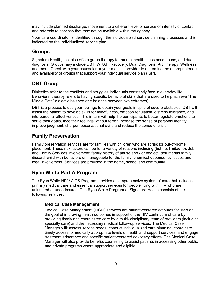may include planned discharge, movement to a different level of service or intensity of contact, and referrals to services that may not be available within the agency.

<span id="page-8-0"></span>Your care coordinator is identified through the individualized service planning processes and is indicated on the individualized service plan.

### **Groups**

Signature Health, Inc. also offers group therapy for mental health, substance abuse, and dual diagnosis. Groups may include DBT, WRAP, Recovery, Dual Diagnosis, Art Therapy, Wellness and more. Check with your counselor or your medical provider to determine the appropriateness and availability of groups that support your individual service plan (ISP).

### <span id="page-8-1"></span>**DBT Group**

Dialectics refer to the conflicts and struggles individuals constantly face in everyday life. Behavioral therapy refers to having specific behavioral skills that are used to help achieve "The Middle Path" dialectic balance (the balance between two extremes).

DBT is a process to use your feelings to obtain your goals in spite of severe obstacles. DBT will assist the patient to develop skills for mindfulness, emotion regulation, distress tolerance, and interpersonal effectiveness. This in turn will help the participants to better regulate emotions to serve their goals, face their feelings without terror, increase the sense of personal identity, improve judgment, sharpen observational skills and reduce the sense of crisis.

### <span id="page-8-2"></span>**Family Preservation**

Family preservation services are for families with children who are at risk for out-of-home placement. These risk factors can be for a variety of reasons including (but not limited to): Job and Family Services involvement; family history of abuse and / or neglect; detrimental family discord; child with behaviors unmanageable for the family; chemical dependency issues and legal involvement. Services are provided in the home, school and community.

### <span id="page-8-3"></span>**Ryan White Part A Program**

The Ryan White HIV / AIDS Program provides a comprehensive system of care that includes primary medical care and essential support services for people living with HIV who are uninsured or underinsured. The Ryan White Program at Signature Health consists of the following services.

#### <span id="page-8-4"></span>**Medical Case Management**

Medical Case Management (MCM) services are patient-centered activities focused on the goal of improving health outcomes in support of the HIV continuum of care by providing timely and coordinated care by a multi- disciplinary team of providers (including specialty care) and the necessary medical follow-up services. The Medical Case Manager will: assess service needs, conduct individualized care planning, coordinate timely access to medically appropriate levels of health and support services, and engage treatment adherence and specific patient-centered advocacy efforts. The Medical Case Manager will also provide benefits counseling to assist patients in accessing other public and private programs where appropriate and eligible.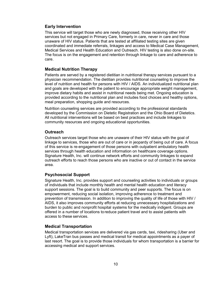#### <span id="page-9-0"></span>**Early Intervention**

This service will target those who are newly diagnosed, those receiving other HIV services but not engaged in Primary Care, formerly in care, never in care and those unaware of HIV status. Patients that are tested at affiliated testing sites are given coordinated and immediate referrals, linkages and access to Medical Case Management, Medical Services and Health Education and Outreach. HIV testing is also done on-site. The focus is on the engagement and retention through linkage to care and adherence to care.

#### <span id="page-9-1"></span>**Medical Nutrition Therapy**

Patients are served by a registered dietitian in nutritional therapy services pursuant to a physician recommendation. The dietitian provides nutritional counseling to improve the level of nutrition and health for persons with HIV / AIDS. An individualized nutritional plan and goals are developed with the patient to encourage appropriate weight management, improve dietary habits and assist in nutritional needs being met. Ongoing education is provided according to the nutritional plan and includes food choices and healthy options, meal preparation, shopping guide and resources.

Nutrition counseling services are provided according to the professional standards developed by the Commission on Dietetic Registration and the Ohio Board of Dietetics. All nutritional interventions will be based on best practices and include linkages to community resources and ongoing educational opportunities.

#### <span id="page-9-2"></span>**Outreach**

Outreach services target those who are unaware of their HIV status with the goal of linkage to services, those who are out of care or in jeopardy of being out of care. A focus of this service is re-engagement of those persons with outpatient ambulatory health services through health education and information on healthcare coverage options. Signature Health, Inc. will continue network efforts and community linkages to expand outreach efforts to reach those persons who are inactive or out of contact in the service area.

#### <span id="page-9-3"></span>**Psychosocial Support**

Signature Health, Inc. provides support and counseling activities to individuals or groups of individuals that include monthly health and mental health education and literacy support sessions. The goal is to build community and peer supports. The focus is on empowerment, reducing social isolation, improving adherence to treatment and prevention of transmission. In addition to improving the quality of life of those with HIV / AIDS, it also improves community efforts at reducing unnecessary hospitalizations and burden to public and nonprofit hospital systems for the medically indigent. Groups are offered in a number of locations toreduce patient travel and to assist patients with access to these services.

#### <span id="page-9-4"></span>**Medical Transportation**

Medical transportation services are delivered via gas cards, taxi, ridesharing (Uber and Lyft), LakeTran bus passes and medical transit for medical appointments as a payer of last resort. The goal is to provide those individuals for whom transportation is a barrier for accessing medical and support services.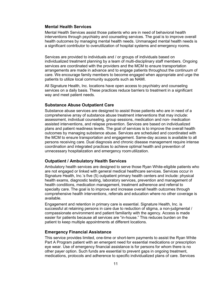#### <span id="page-10-0"></span>**Mental Health Services**

Mental Health Services assist those patients who are in need of behavioral health interventions through psychiatry and counseling services. The goal is to improve overall health outcomes by managing mental health needs. Unmanaged mental health needs is a significant contributor to overutilization of hospital systems and emergency rooms.

Services are provided to individuals and / or groups of individuals based on individualized treatment planning by a team of multi-disciplinary staff members. Ongoing services are coordinated with the providers and the MCM to ensure transportation arrangements are made in advance and to engage patients throughout the continuum of care. We encourage family members to become engaged when appropriate and urge the patients to utilize local community supports such as NAMI.

All Signature Health, Inc. locations have open access to psychiatry and counseling services on a daily basis. These practices reduce barriers to treatment in a significant way and meet patient needs.

#### <span id="page-10-1"></span>**Substance Abuse Outpatient Care**

Substance abuse services are designed to assist those patients who are in need of a comprehensive array of substance abuse treatment interventions that may include: assessment, individual counseling, group sessions, medication and non- medication assisted interventions, and relapse prevention. Services are based on individualized plans and patient readiness levels. The goal of services is to improve the overall health outcomes by managing substance abuse. Services are scheduled and coordinated with the MCM to ensure transportation and engagement. Same-day access is available to all persons receiving care. Dual diagnosis and chronic disease management require intense coordination and integrated practices to achieve optimal health and prevention of unnecessary hospitalization and emergency room utilization.

#### <span id="page-10-2"></span>**Outpatient / Ambulatory Health Services**

Ambulatory health services are designed to serve those Ryan White-eligible patients who are not engaged or linked with general medical healthcare services. Services occur in Signature Health, Inc.'s five (5) outpatient primary health centers and include: physical health exams, diagnostic testing, laboratory services, prevention and management of health conditions, medication management, treatment adherence and referral to specialty care. The goal is to improve and increase overall health outcomes through comprehensive health interventions, referrals and education where no other coverage is available.

Engagement and retention in primary care is essential. Signature Health, Inc. is successful at retaining persons in care due to reduction of stigma, a non-judgmental / compassionate environment and patient familiarity with the agency. Access is made easier for patients because all services are "in-house." This reduces burden on the patient to keep multiple appointments at different locations.

#### <span id="page-10-3"></span>**Emergency Financial Assistance**

This service provides limited, one-time or short-term payments to assist the Ryan White Part A Program patient with an emergent need for essential medications or prescription eye wear. Use of emergency financial assistance is for persons for whom there is no other payer option. Such funds are essential to prevent gaps in ongoing treatment, medications, protocols and adherence to specific individualized plans of care. Services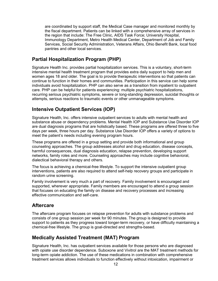are coordinated by support staff, the Medical Case manager and monitored monthly by the fiscal department. Patients can be linked with a comprehensive array of services in the region that include: The Free Clinic, AIDS Task Force; University Hospital, Immunology Department, Metro Health Medical Center, Department of Job and Family Services, Social Security Administration, Veterans Affairs, Ohio Benefit Bank, local food pantries and other local services.

### <span id="page-11-0"></span>**Partial Hospitalization Program (PHP)**

Signature Health Inc. provides partial hospitalization services. This is a voluntary, short-term intensive mental health treatment program that provides extra daily support to help men and women ages 18 and older. The goal is to provide therapeutic interventions so that patients can continue to function in their homes and communities. Participation in this service can help some individuals avoid hospitalization. PHP can also serve as a transition from inpatient to outpatient care. PHP can be helpful for patients experiencing: multiple psychiatric hospitalizations, recurring serious psychiatric symptoms, severe or long-standing depression, suicidal thoughts or attempts, serious reactions to traumatic events or other unmanageable symptoms.

### <span id="page-11-1"></span>**Intensive Outpatient Services (IOP)**

Signature Health, Inc. offers intensive outpatient services to adults with mental health and substance abuse or dependency problems. Mental Health IOP and Substance Use Disorder IOP are dual diagnosis programs that are holistically based. These programs are offered three to five days per week, three hours per day. Substance Use Disorder IOP offers a variety of options to meet the patient's needs including evening program hours.

These programs are offered in a group setting and provide both informational and group counseling approaches. The group addresses alcohol and drug education, disease concepts, harmful consequences, dual diagnosis education, relapse prevention, developing support networks, family roles and more. Counseling approaches may include cognitive behavioral, dialectical behavioral therapy and others.

The focus is achieving a chemical-free lifestyle. To support the intensive outpatient group interventions, patients are also required to attend self-help recovery groups and participate in random urine screening.

Family involvement is very much a part of recovery. Family involvement is encouraged and supported, wherever appropriate. Family members are encouraged to attend a group session that focuses on educating the family on disease and recovery processes and increasing effective communication and self-care.

### <span id="page-11-2"></span>**Aftercare**

The aftercare program focuses on relapse prevention for adults with substance problems and consists of one group session per week for 90 minutes. The group is designed to provide support to patients as they progress toward longer-term recovery, or have difficulty maintaining a chemical-free lifestyle. The group is goal-directed and strengths-based.

### <span id="page-11-3"></span>**Medically Assisted Treatment (MAT) Program**

Signature Health, Inc. has outpatient services available for those persons who are diagnosed with opiate use disorder dependence. Suboxone and Vivitrol are the MAT treatment methods for long-term opiate addiction. The use of these medications in combination with comprehensive treatment services allows individuals to function effectively without intoxication, impairment or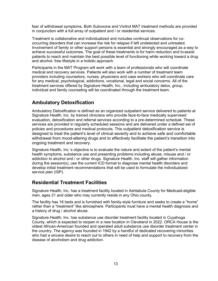fear of withdrawal symptoms. Both Suboxone and Vivitrol MAT treatment methods are provided in conjunction with a full array of outpatient and / or residential services.

Treatment is collaborative and individualized and includes continual observations for cooccurring disorders that can increase the risk for relapse if left undetected and untreated. Involvement of family or other support persons is essential and strongly encouraged as a way to achieve successful outcomes. The goal of these treatments is for harm reduction and to assist patients to reach and maintain the best possible level of functioning while working toward a drug and alcohol- free lifestyle in a holistic approach.

Participants in the MAT Program will work with a team of professionals who will coordinate medical and recovery services. Patients will also work with a number of treatment team providers including counselors, nurses, physicians and case workers who will coordinate care for any medical, psychological, addictions, vocational, legal and social concerns. All of the treatment services offered by Signature Health, Inc., including ambulatory detox, group, individual and family counseling will be coordinated through the treatment team.

### <span id="page-12-0"></span>**Ambulatory Detoxification**

Ambulatory Detoxification is defined as an organized outpatient service delivered to patients at Signature Health, Inc. by trained clinicians who provide face-to-face medically supervised evaluation, detoxification and referral services according to a pre-determined schedule. These services are provided in regularly scheduled sessions and are delivered under a defined set of policies and procedures and medical protocols. This outpatient detoxification service is designed to treat the patient's level of clinical severity and to achieve safe and comfortable withdrawal from mood-altering drugs and to effectively facilitate the patient's transition into ongoing treatment and recovery.

Signature Health, Inc.'s objective is to evaluate the nature and extent of the patient's mental health symptoms, substance use and presenting problems including abuse, misuse and / or addiction to alcohol and / or other drugs. Signature Health, Inc. staff will gather information during the session(s), use the current ICD format to diagnose mental health disorders and develop initial treatment recommendations that will be used to formulate the individualized service plan (ISP).

### <span id="page-12-1"></span>**Residential Treatment Facilities**

Signature Health, Inc. has a treatment facility located in Ashtabula County for Medicaid-eligible men, ages 21 and older who may currently reside in any Ohio county.

The facility has 16 beds and is furnished with family-style furniture and seeks to create a "home" rather than a "treatment" like atmosphere. Participants must have a mental health diagnosis and a history of drug / alcohol abuse.

Signature Health, Inc. has substance use disorder treatment facility located in Cuyahoga County, which is expected to reopen in a new location in Cleveland in 2022. ORCA House is the oldest African-American founded and operated adult substance use disorder treatment center in the country. The agency was founded in 1942 by a handful of dedicated recovering minorities who had a sincere desire to reach out to others in need of help and support to recovery from the disease of alcoholism and drug addiction.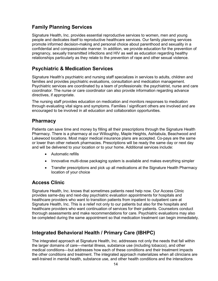### <span id="page-13-0"></span>**Family Planning Services**

Signature Health, Inc. provides essential reproductive services to women, men and young people and dedicates itself to reproductive healthcare services. Our family planning services promote informed decision-making and personal choice about parenthood and sexuality in a confidential and compassionate manner. In addition, we provide education for the prevention of pregnancy, sexually transmitted infections and HIV as well as education regarding healthy relationships particularly as they relate to the prevention of rape and other sexual violence.

### <span id="page-13-1"></span>**Psychiatric & Medication Services**

Signature Health's psychiatric and nursing staff specializes in services to adults, children and families and provides psychiatric evaluations, consultation and medication management. Psychiatric services are coordinated by a team of professionals: the psychiatrist, nurse and care coordinator. The nurse or care coordinator can also provide information regarding advance directives, if appropriate.

The nursing staff provides education on medication and monitors responses to medication through evaluating vital signs and symptoms. Families / significant others are involved and are encouraged to be involved in all education and collaboration opportunities.

### <span id="page-13-2"></span>**Pharmacy**

Patients can save time and money by filling all their prescriptions through the Signature Health Pharmacy. There is a pharmacy at our Willoughby, Maple Heights, Ashtabula, Beachwood and Lakewood locations. Most major medical insurance plans are accepted. Co-pays are the same or lower than other network pharmacies. Prescriptions will be ready the same day or next day and will be delivered to your location or to your home. Additional services include:

- Automatic refills
- Innovative multi-dose packaging system is available and makes everything simpler
- Transfer prescriptions and pick up all medications at the Signature Health Pharmacy location of your choice

### <span id="page-13-3"></span>**Access Clinic**

Signature Health, Inc. knows that sometimes patients need help now. Our Access Clinic provides same-day and next-day psychiatric evaluation appointments for hospitals and healthcare providers who want to transition patients from inpatient to outpatient care at Signature Health, Inc. This is a relief not only to our patients but also for the hospitals and healthcare providers who want continuation of services for their patients. Counselors conduct thorough assessments and make recommendations for care. Psychiatric evaluations may also be completed during the same appointment so that medication treatment can begin immediately.

### <span id="page-13-4"></span>**Integrated Behavioral Health / Primary Care (IBHPC)**

The integrated approach at Signature Health, Inc. addresses not only the needs that fall within the larger domains of care—mental illness, substance use (including tobacco), and other medical conditions—but addresses how each of these conditions and their treatment impacts the other conditions and treatment. The integrated approach materializes when all clinicians are well-trained in mental health, substance use, and other health conditions and the interactions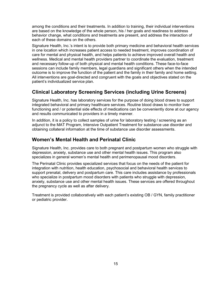among the conditions and their treatments. In addition to training, their individual interventions are based on the knowledge of the whole person, his / her goals and readiness to address behavior change, what conditions and treatments are present, and address the interaction of each of these domains on the others.

Signature Health, Inc.'s intent is to provide both primary medicine and behavioral health services in one location which increases patient access to needed treatment, improves coordination of care for mental and physical health, and helps patients to achieve improved overall health and wellness. Medical and mental health providers partner to coordinate the evaluation, treatment and necessary follow-up of both physical and mental health conditions. These face-to-face sessions can include family members, legal guardians and significant others when the intended outcome is to improve the function of the patient and the family in their family and home setting. All interventions are goal-directed and congruent with the goals and objectives stated on the patient's individualized service plan.

### <span id="page-14-0"></span>**Clinical Laboratory Screening Services (including Urine Screens)**

Signature Health, Inc. has laboratory services for the purpose of doing blood draws to support integrated behavioral and primary healthcare services. Routine blood draws to monitor liver functioning and / or potential side effects of medications can be conveniently done at our agency and results communicated to providers in a timely manner.

In addition, it is a policy to collect samples of urine for laboratory testing / screening as an adjunct to the MAT Program, Intensive Outpatient Treatment for substance use disorder and obtaining collateral information at the time of substance use disorder assessments.

### <span id="page-14-1"></span>**Women's Mental Health and Perinatal Clinic**

Signature Health, Inc. provides care to both pregnant and postpartum women who struggle with depression, anxiety, substance use and other mental health issues. This program also specializes in general women's mental health and perimenopausal mood disorders.

The Perinatal Clinic provides specialized services that focus on the needs of the patient for integration with nutrition, health education, psychosocial and behavioral health services to support prenatal, delivery and postpartum care. This care includes assistance by professionals who specialize in postpartum mood disorders with patients who struggle with depression, anxiety, substance use and other mental health issues. These services are offered throughout the pregnancy cycle as well as after delivery.

Treatment is provided collaboratively with each patient's existing OB / GYN, family practitioner or pediatric provider.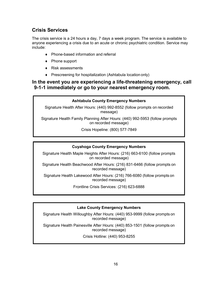### <span id="page-15-0"></span>**Crisis Services**

The crisis service is a 24 hours a day, 7 days a week program. The service is available to anyone experiencing a crisis due to an acute or chronic psychiatric condition. Service may include:

- ♦ Phone-based information and referral
- ♦ Phone support
- ♦ Risk assessments
- ♦ Prescreening for hospitalization (Ashtabula location only)

### **In the event you are experiencing a life-threatening emergency, call 9-1-1 immediately or go to your nearest emergency room.**

#### **Ashtabula County Emergency Numbers**

Signature Health After Hours: (440) 992-8552 (follow prompts on recorded message)

Signature Health Family Planning After Hours: (440) 992-5953 (follow prompts on recorded message)

Crisis Hopeline: (800) 577-7849

#### **Cuyahoga County Emergency Numbers**

Signature Health Maple Heights After Hours: (216) 663-6100 (follow prompts on recorded message)

Signature Health Beachwood After Hours: (216) 831-6466 (follow prompts on recorded message)

Signature Health Lakewood After Hours: (216) 766-6080 (follow prompts on recorded message)

Frontline Crisis Services: (216) 623-6888

#### **Lake County Emergency Numbers**

Signature Health Willoughby After Hours: (440) 953-9999 (follow prompts on recorded message)

<span id="page-15-1"></span>Signature Health Painesville After Hours: (440) 853-1501 (follow prompts on recorded message)

Crisis Hotline: (440) 953-8255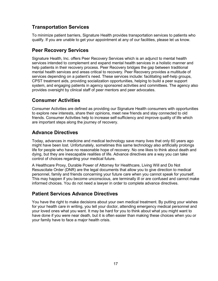### **Transportation Services**

To minimize patient barriers, Signature Health provides transportation services to patients who qualify. If you are unable to get your appointment at any of our facilities, please let us know.

### <span id="page-16-0"></span>**Peer Recovery Services**

Signature Health, Inc. offers Peer Recovery Services which is an adjunct to mental health services intended to complement and expand mental health services in a holistic manner and help patients in their recovery process. Peer Recovery bridges the gap between traditional mental health services and areas critical to recovery. Peer Recovery provides a multitude of services depending on a patient's need. These services include: facilitating self-help groups, CPST treatment aids, providing socialization opportunities, helping to build a peer support system, and engaging patients in agency sponsored activities and committees. The agency also provides oversight by clinical staff of peer mentors and peer advocates.

### <span id="page-16-1"></span>**Consumer Activities**

Consumer Activities are defined as providing our Signature Health consumers with opportunities to explore new interests, share their opinions, meet new friends and stay connected to old friends. Consumer Activities help to increase self-sufficiency and improve quality of life which are important steps along the journey of recovery.

### <span id="page-16-2"></span>**Advance Directives**

Today, advances in medicine and medical technology save many lives that only 60 years ago might have been lost. Unfortunately, sometimes this same technology also artificially prolongs life for people who have no reasonable hope of recovery. No one likes to think about death and dying, but they are inescapable realities of life. Advance directives are a way you can take control of choices regarding your medical future.

A Healthcare Proxy, Durable Power of Attorney for Healthcare, Living Will and Do Not Resuscitate Order (DNR) are the legal documents that allow you to give direction to medical personnel, family and friends concerning your future care when you cannot speak for yourself. This may happen if you become unconscious, are terminally ill or are confused and cannot make informed choices. You do not need a lawyer in order to complete advance directives.

### <span id="page-16-3"></span>**Patient Services Advance Directives**

You have the right to make decisions about your own medical treatment. By putting your wishes for your health care in writing, you tell your doctor, attending emergency medical personnel and your loved ones what you want. It may be hard for you to think about what you might want to have done if you were near death, but it is often easier than making these choices when you or your family have to face a major health crisis.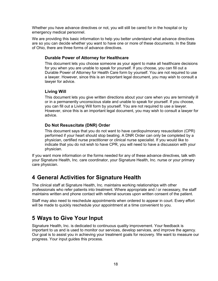Whether you have advance directives or not, you will still be cared for in the hospital or by emergency medical personnel.

We are providing this basic information to help you better understand what advance directives are so you can decide whether you want to have one or more of these documents. In the State of Ohio, there are three forms of advance directives.

#### <span id="page-17-0"></span>**Durable Power of Attorney for Healthcare**

This document lets you choose someone as your agent to make all healthcare decisions for you when you are unable to speak for yourself. If you choose, you can fill out a Durable Power of Attorney for Health Care form by yourself. You are not required to use a lawyer. However, since this is an important legal document, you may wish to consult a lawyer for advice.

#### <span id="page-17-1"></span>**Living Will**

This document lets you give written directions about your care when you are terminally ill or in a permanently unconscious state and unable to speak for yourself. If you choose, you can fill out a Living Will form by yourself. You are not required to use a lawyer. However, since this is an important legal document, you may wish to consult a lawyer for advice.

#### <span id="page-17-2"></span>**Do Not Resuscitate (DNR) Order**

This document says that you do not want to have cardiopulmonary resuscitation (CPR) performed if your heart should stop beating. A DNR Order can only be completed by a physician, certified nurse practitioner or clinical nurse specialist. If you would like to indicate that you do not wish to have CPR, you will need to have a discussion with your physician.

If you want more information or the forms needed for any of these advance directives, talk with your Signature Health, Inc. care coordinator, your Signature Health, Inc. nurse or your primary care physician.

# <span id="page-17-3"></span>**4 General Activities for Signature Health**

The clinical staff at Signature Health, Inc. maintains working relationships with other professionals who refer patients into treatment. Where appropriate and / or necessary, the staff maintains written and phone contact with referral sources upon written consent of the patient.

Staff may also need to reschedule appointments when ordered to appear in court. Every effort will be made to quickly reschedule your appointment at a time convenient to you.

# <span id="page-17-4"></span>**5 Ways to Give Your Input**

Signature Health, Inc. is dedicated to continuous quality improvement. Your feedback is important to us and is used to monitor our services, develop services, and improve the agency. Our goal is to assist you in achieving your treatment goals for recovery. We want to measure our progress. Your input guides this process.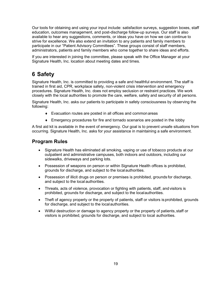Our tools for obtaining and using your input include: satisfaction surveys, suggestion boxes, staff education, outcomes management, and post-discharge follow-up surveys. Our staff is also available to hear any suggestions, comments, or ideas you have on how we can continue to strive for excellence. We also extend an invitation to any patients and family members to participate in our "Patient Advisory Committees". These groups consist of staff members, administrators, patients and family members who come together to share ideas and efforts.

If you are interested in joining the committee, please speak with the Office Manager at your Signature Health, Inc. location about meeting dates and times.

# <span id="page-18-0"></span>**6 Safety**

Signature Health, Inc. is committed to providing a safe and healthful environment. The staff is trained in first aid, CPR, workplace safety, non-violent crisis intervention and emergency procedures. Signature Health, Inc. does not employ seclusion or restraint practices. We work closely with the local authorities to promote the care, welfare, safety and security of all persons.

Signature Health, Inc. asks our patients to participate in safety consciousness by observing the following:

- ♦ Evacuation routes are posted in all offices and commonareas
- ♦ Emergency procedures for fire and tornado scenarios are posted in the lobby

A first aid kit is available in the event of emergency. Our goal is to prevent unsafe situations from occurring. Signature Health, Inc. asks for your assistance in maintaining a safe environment.

### **Program Rules**

- Signature Health has eliminated all smoking, vaping or use of tobacco products at our outpatient and administrative campuses, both indoors and outdoors, including our sidewalks, driveways and parking lots.
- Possession of weapons on person or within Signature Health offices is prohibited, grounds for discharge, and subject to the localauthorities.
- Possession of illicit drugs on person or premises is prohibited, grounds for discharge, and subject to the local authorities.
- Threats, acts of violence, provocation or fighting with patients, staff, and visitors is prohibited, grounds for discharge, and subject to the localauthorities.
- Theft of agency property or the property of patients, staff or visitors is prohibited, grounds for discharge, and subject to the localauthorities.
- Willful destruction or damage to agency property or the property of patients, staff or visitors is prohibited, grounds for discharge, and subject to local authorities.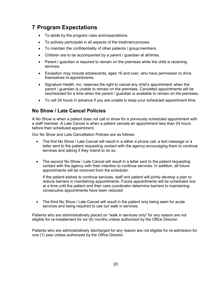# <span id="page-19-0"></span>**7 Program Expectations**

- To abide by the program rules and expectations.
- To actively participate in all aspects of the treatment process.
- To maintain the confidentiality of other patients / group members.
- Children are to be accompanied by a parent / quardian at all times.
- Parent / guardian is required to remain on the premises while the child is receiving services.
- Exception may include adolescents, ages 16 and over, who have permission to drive themselves to appointments.
- Signature Health, Inc. reserves the right to cancel any child's appointment when the parent / guardian is unable to remain on the premises. Cancelled appointments will be rescheduled for a time when the parent / guardian is available to remain on the premises.
- To call 24 hours in advance if you are unable to keep your scheduled appointment time.

### <span id="page-19-1"></span>**No Show / Late Cancel Policies**

A No Show is when a patient does not call or show for a previously scheduled appointment with a staff member. A Late Cancel is when a patient cancels an appointment less than 24 hours before their scheduled appointment.

Our No Show and Late Cancellation Policies are as follows:

- The first No Show / Late Cancel will result in a either a phone call, a text message or a letter sent to the patient requesting contact with the agency encouraging them to continue services and asking if they intend to do so.
- The second No Show / Late Cancel will result in a letter sent to the patient requesting contact with the agency with their intention to continue services. In addition, all future appointments will be removed from the scheduler.

If the patient wishes to continue services, staff and patient will jointly develop a plan to reduce barriers in maintaining appointments. Future appointments will be scheduled one at a time until the patient and their care coordinator determine barriers to maintaining consecutive appointments have been reduced.

• The third No Show / Late Cancel will result in the patient only being seen for acute services and being required to use our walk in services.

Patients who are administratively placed on "walk in services only" for any reason are not eligible for re-instatement for six (6) months unless authorized by the Office Director.

Patients who are administratively discharged for any reason are not eligible for re-admission for one (1) year unless authorized by the Office Director.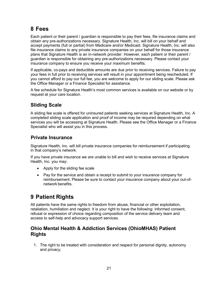# <span id="page-20-0"></span>**8 Fees**

Each patient or their parent / guardian is responsible to pay their fees, file insurance claims and obtain any pre-authorizations necessary. Signature Health, Inc. will bill on your behalf and accept payments (full or partial) from Medicare and/or Medicaid. Signature Health, Inc. will also file insurance claims to any private insurance companies on your behalf for those insurance plans that Signature Health is an in-network provider. However, each patient or their parent / guardian is responsible for obtaining any pre-authorizations necessary. Please contact your insurance company to ensure you receive your maximum benefits.

If applicable, co-pays and deductible amounts are due prior to receiving services. Failure to pay your fees in full prior to receiving services will result in your appointment being rescheduled. If you cannot afford to pay our full fee, you are welcome to apply for our sliding scale. Please ask the Office Manager or a Finance Specialist for assistance.

A fee schedule for Signature Health's most common services is available on our website or by request at your care location.

### <span id="page-20-1"></span>**Sliding Scale**

A sliding fee scale is offered for uninsured patients seeking services at Signature Health, Inc. A completed sliding scale application and proof of income may be required depending on what services you will be accessing at Signature Health. Please see the Office Manager or a Finance Specialist who will assist you in this process.

### <span id="page-20-2"></span>**Private Insurance**

Signature Health, Inc. will bill private insurance companies for reimbursement if participating in that company's network.

If you have private insurance we are unable to bill and wish to receive services at Signature Health, Inc. you may:

- Apply for the sliding fee scale
- Pay for the service and obtain a receipt to submit to your insurance company for reimbursement. Please be sure to contact your insurance company about your out-ofnetwork benefits.

# <span id="page-20-3"></span>**9 Patient Rights**

All patients have the same rights to freedom from abuse, financial or other exploitation, retaliation, humiliation and neglect. It is your right to have the following: informed consent, refusal or expression of choice regarding composition of the service delivery team and access to self-help and advocacy support services.

### <span id="page-20-4"></span>**Ohio Mental Health & Addiction Services (OhioMHAS) Patient Rights**

1. The right to be treated with consideration and respect for personal dignity, autonomy and privacy;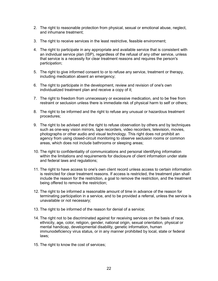- 2. The right to reasonable protection from physical, sexual or emotional abuse, neglect, and inhumane treatment;
- 3. The right to receive services in the least restrictive, feasible environment;
- 4. The right to participate in any appropriate and available service that is consistent with an individual service plan (ISP), regardless of the refusal of any other service, unless that service is a necessity for clear treatment reasons and requires the person's participation;
- 5. The right to give informed consent to or to refuse any service, treatment or therapy, including medication absent an emergency;
- 6. The right to participate in the development, review and revision of one's own individualized treatment plan and receive a copy of it;
- 7. The right to freedom from unnecessary or excessive medication, and to be free from restraint or seclusion unless there is immediate risk of physical harm to self or others;
- 8. The right to be informed and the right to refuse any unusual or hazardous treatment procedures;
- 9. The right to be advised and the right to refuse observation by others and by techniques such as one-way vision mirrors, tape recorders, video recorders, television, movies, photographs or other audio and visual technology. This right does not prohibit an agency from using closed-circuit monitoring to observe seclusion rooms or common areas, which does not include bathrooms or sleeping areas;
- 10. The right to confidentiality of communications and personal identifying information within the limitations and requirements for disclosure of client information under state and federal laws and regulations;
- 11. The right to have access to one's own client record unless access to certain information is restricted for clear treatment reasons. If access is restricted, the treatment plan shall include the reason for the restriction, a goal to remove the restriction, and the treatment being offered to remove the restriction;
- 12. The right to be informed a reasonable amount of time in advance of the reason for terminating participation in a service, and to be provided a referral, unless the service is unavailable or not necessary;
- 13. The right to be informed of the reason for denial of a service;
- 14. The right not to be discriminated against for receiving services on the basis of race, ethnicity, age, color, religion, gender, national origin, sexual orientation, physical or mental handicap, developmental disability, genetic information, human immunodeficiency virus status, or in any manner prohibited by local, state or federal laws;
- 15. The right to know the cost of services;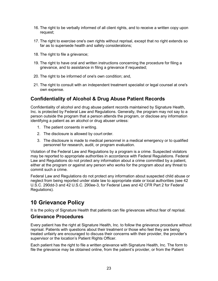- 16. The right to be verbally informed of all client rights, and to receive a written copy upon request;
- 17. The right to exercise one's own rights without reprisal, except that no right extends so far as to supersede health and safety considerations;
- 18. The right to file a grievance;
- 19. The right to have oral and written instructions concerning the procedure for filing a grievance, and to assistance in filing a grievance if requested;
- 20. The right to be informed of one's own condition; and,
- 21. The right to consult with an independent treatment specialist or legal counsel at one's own expense.

### <span id="page-22-0"></span>**Confidentiality of Alcohol & Drug Abuse Patient Records**

Confidentiality of alcohol and drug abuse patient records maintained by Signature Health, Inc. is protected by Federal Law and Regulations. Generally, the program may not say to a person outside the program that a person attends the program, or disclose any information identifying a patient as an alcohol or drug abuser unless:

- 1. The patient consents in writing.
- 2. The disclosure is allowed by court order.
- 3. The disclosure is made to medical personnel in a medical emergency or to qualified personnel for research, audit, or program evaluation.

Violation of the Federal Law and Regulations by a program is a crime. Suspected violators may be reported to appropriate authorities in accordance with Federal Regulations. Federal Law and Regulations do not protect any information about a crime committed by a patient, either at the program or against any person who works for the program about any threat to commit such a crime.

Federal Law and Regulations do not protect any information about suspected child abuse or neglect from being reported under state law to appropriate state or local authorities (see 42 U.S.C. 290dd-3 and 42 U.S.C. 290ee-3, for Federal Laws and 42 CFR Part 2 for Federal Regulations).

# <span id="page-22-1"></span>**10 Grievance Policy**

It is the policy of Signature Health that patients can file grievances without fear of reprisal.

### <span id="page-22-2"></span>**Grievance Procedures**

Every patient has the right at Signature Health, Inc. to follow the grievance procedure without reprisal. Patients with questions about their treatment or those who feel they are being treated unfairly are encouraged to discuss their concerns with their provider, the provider's supervisor or the location's Patient Rights Officer.

Each patient has the right to file a written grievance with Signature Health, Inc. The form to file the grievance may be obtained online, from the patient's provider, or from the Patient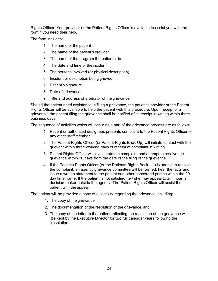Rights Officer. Your provider or the Patient Rights Officer is available to assist you with the form if you need their help.

The form includes:

- 1. The name of the patient
- 2. The name of the patient's provider
- 3. The name of the program the patient is in
- 4. The date and time of the incident
- 5. The persons involved (or physical description)
- 6. Incident or description being grieved
- 7. Patient's signature
- 8. Date of grievance
- 9. Title and address of arbitrator of the grievance

Should the patient need assistance in filing a grievance, the patient's provider or the Patient Rights Officer will be available to help the patient with this procedure. Upon receipt of a grievance, the patient filing the grievance shall be notified of its receipt in writing within three business days.

The sequence of activities which will occur as a part of the grievance process are as follows:

- 1. Patient or authorized designees presents complaint to the Patient Rights Officer or any other staff member.
- 2. The Patient Rights Officer (or Patient Rights Back-Up) will initiate contact with the grievant within three working days of receipt of complaint in writing.
- 3. Patient Rights Officer will investigate the complaint and attempt to resolve the grievance within 20 days from the date of the filing of the grievance.
- 4. If the Patients Rights Officer (or the Patients Rights Back-Up) is unable to resolve the complaint, an agency grievance committee will be formed, hear the facts and issue a written statement to the patient and other concerned parties within the 20 day time frame. If the patient is not satisfied he / she may appeal to an impartial decision-maker outside the agency. The Patient Rights Officer will assist the patient with the appeal.

The patient will be provided a copy of all activity regarding the grievance including:

- 1. The copy of the grievance
- 2. The documentation of the resolution of the grievance, and
- <span id="page-23-0"></span>3. The copy of the letter to the patient reflecting the resolution of the grievance will be kept by the Executive Director for two full calendar years following the resolution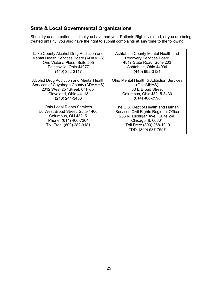# **State & Local Governmental Organizations**

Should you as a patient still feel you have had your Patients Rights violated, or you are being treated unfairly, you also have the right to submit complaints **at any time** to the following:

<span id="page-24-0"></span>

| Lake County Alcohol Drug Addiction and                                                                                                            | Ashtabula County Mental Health and                                                                                                                                                     |
|---------------------------------------------------------------------------------------------------------------------------------------------------|----------------------------------------------------------------------------------------------------------------------------------------------------------------------------------------|
| Mental Health Services Board (ADAMHS)                                                                                                             | <b>Recovery Services Board</b>                                                                                                                                                         |
| One Victoria Place, Suite 205                                                                                                                     | 4817 State Road, Suite 203                                                                                                                                                             |
| Painesville, Ohio 44077                                                                                                                           | Ashtabula, Ohio 44004                                                                                                                                                                  |
| (440) 352-3117                                                                                                                                    | (440) 992-3121                                                                                                                                                                         |
| Alcohol Drug Addiction and Mental Health                                                                                                          | Ohio Mental Health & Addiction Services                                                                                                                                                |
| Services of Cuyahoga County (ADAMHS)                                                                                                              | (OhioMHAS)                                                                                                                                                                             |
| 2012 West 25th Street, 6th Floor                                                                                                                  | 30 E Broad Street                                                                                                                                                                      |
| Cleveland, Ohio 44113                                                                                                                             | Columbus, Ohio 43215-3430                                                                                                                                                              |
| (216) 241-3400                                                                                                                                    | $(614)$ 466-2596                                                                                                                                                                       |
| <b>Ohio Legal Rights Services</b><br>50 West Broad Street, Suite 1400<br>Columbus, OH 43215<br>Phone: (614) 466-7264<br>Toll Free: (800) 282-9181 | The U.S. Dept of Health and Human<br>Services Civil Rights Regional Office<br>233 N. Michigan Ave., Suite 240<br>Chicago, IL 60601<br>Toll Free: (800) 368-1019<br>TDD: (800) 537-7697 |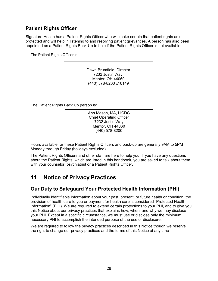### **Patient Rights Officer**

Signature Health has a Patient Rights Officer who will make certain that patient rights are protected and will help in listening to and resolving patient grievances. A person has also been appointed as a Patient Rights Back-Up to help if the Patient Rights Officer is not available.

The Patient Rights Officer is:

Dawn Brumfield, Director 7232 Justin Way, Mentor, OH 44060 (440) 578-8200 x10149

The Patient Rights Back Up person is:



Hours available for these Patient Rights Officers and back-up are generally 9AM to 5PM Monday through Friday (holidays excluded).

The Patient Rights Officers and other staff are here to help you. If you have any questions about the Patient Rights, which are listed in this handbook, you are asked to talk about them with your counselor, psychiatrist or a Patient Rights Officer.

# <span id="page-25-0"></span>**11 Notice of Privacy Practices**

### <span id="page-25-1"></span>**Our Duty to Safeguard Your Protected Health Information (PHI)**

Individually identifiable information about your past, present, or future health or condition, the provision of health care to you or payment for health care is considered "Protected Health Information" (PHI). We are required to extend certain protections to your PHI, and to give you this Notice about our privacy practices that explains how, when, and why we may disclose your PHI. Except in a specific circumstance, we must use or disclose only the minimum necessary PHI to accomplish the intended purpose of the use or disclosure.

<span id="page-25-2"></span>We are required to follow the privacy practices described in this Notice though we reserve the right to change our privacy practices and the terms of this Notice at any time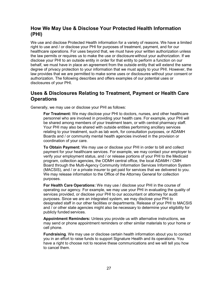### **How We May Use & Disclose Your Protected Health Information (PHI)**

We use and disclose Protected Health information for a variety of reasons. We have a limited right to use and / or disclose your PHI for purposes of treatment, payment, and for our healthcare operations. For uses beyond that, we must have your written authorization unless the law permits or requires us to make the use or disclosure without your authorization. If we disclose your PHI to an outside entity in order for that entity to perform a function on our behalf, we must have in place an agreement from the outside entity that will extend the same degree of privacy protection to your information that we must apply to your PHI. However, the law provides that we are permitted to make some uses or disclosures without your consent or authorization. The following describes and offers examples of our potential uses or disclosures of your PHI.

### <span id="page-26-0"></span>**Uses & Disclosures Relating to Treatment, Payment or Health Care Operations**

Generally, we may use or disclose your PHI as follows:

**For Treatment:** We may disclose your PHI to doctors, nurses, and other healthcare personnel who are involved in providing your health care. For example, your PHI will be shared among members of your treatment team, or with central pharmacy staff. Your PHI may also be shared with outside entities performing ancillary services relating to your treatment, such as lab work, for consultation purposes, or ADAMH Boards and / or community mental health agencies involved in the provision or coordination of your care.

**To Obtain Payment:** We may use or disclose your PHI in order to bill and collect payment for your healthcare services. For example, we may contact your employer to verify your employment status, and / or release portions of your PHI to the Medicaid program, collection agencies, the ODMH central office, the local ADAMH / CMH Board through the Multi-Agency Community Information Services Information System (MACSIS), and / or a private insurer to get paid for services that we delivered to you. We may release information to the Office of the Attorney General for collection purposes.

**For Health Care Operations:** We may use / disclose your PHI in the course of operating our agency. For example, we may use your PHI in evaluating the quality of services provided, or disclose your PHI to our accountant or attorney for audit purposes. Since we are an integrated system, we may disclose your PHI to designated staff in our other facilities or departments. Release of your PHI to MACSIS and / or other state agencies might also be necessary to determine your eligibility for publicly funded services.

**Appointment Reminders:** Unless you provide us with alternative instructions, we may send or phone appointment reminders or other similar materials to your home or cell phone.

**Fundraising**. We may use or disclose certain health information about you to contact you in an effort to raise funds to support Signature Health and its operations. You have a right to choose not to receive these communications and we will tell you how to cancel them.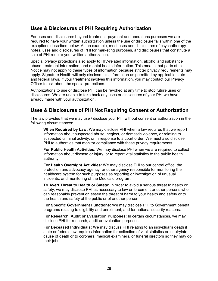### <span id="page-27-0"></span>**Uses & Disclosures of PHI Requiring Authorization**

For uses and disclosures beyond treatment, payment and operations purposes we are required to have your written authorization unless the use or disclosure falls within one of the exceptions described below. As an example, most uses and disclosures of psychotherapy notes, uses and disclosures of PHI for marketing purposes, and disclosures that constitute a sale of PHI require your written authorization.

Special privacy protections also apply to HIV-related information, alcohol and substance abuse treatment information, and mental health information. This means that parts of this Notice may not apply to these types of information because stricter privacy requirements may apply. Signature Health will only disclose this information as permitted by applicable state and federal laws. If your treatment involves this information, you may contact our Privacy Officer to ask about the special protections.

Authorizations to use or disclose PHI can be revoked at any time to stop future uses or disclosures. We are unable to take back any uses or disclosures of your PHI we have already made with your authorization.

### <span id="page-27-1"></span>**Uses & Disclosures of PHI Not Requiring Consent or Authorization**

The law provides that we may use / disclose your PHI without consent or authorization in the following circumstances:

**When Required by Law:** We may disclose PHI when a law requires that we report information about suspected abuse, neglect, or domestic violence, or relating to suspected criminal activity, or in response to a court order. We must also disclose PHI to authorities that monitor compliance with these privacy requirements.

**For Public Health Activities:** We may disclose PHI when we are required to collect information about disease or injury, or to report vital statistics to the public health authority.

**For Health Oversight Activities:** We may disclose PHI to our central office, the protection and advocacy agency, or other agency responsible for monitoring the healthcare system for such purposes as reporting or investigation of unusual incidents, and monitoring of the Medicaid program.

**To Avert Threat to Health or Safety:** In order to avoid a serious threat to health or safety, we may disclose PHI as necessary to law enforcement or other persons who can reasonably prevent or lessen the threat of harm to your health and safety or to the health and safety of the public or of another person.

**For Specific Government Functions:** We may disclose PHI to Government benefit programs relating to eligibility and enrollment, and for national security reasons.

**For Research, Audit or Evaluation Purposes:** In certain circumstances, we may disclose PHI for research, audit or evaluation purposes.

**For Deceased Individuals:** We may discuss PHI relating to an individual's death if state or federal law requires information for collection of vital statistics or inquiryinto cause of death or to coroners, medical examiners, or funeral directors so they may do their jobs.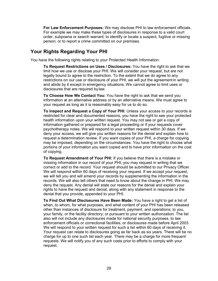**For Law Enforcement Purposes:** We may disclose PHI to law enforcement officials. For example we may make these types of disclosures in response to a valid court order, subpoena or search warrant; to identify or locate a suspect, fugitive or missing person; or to report a crime committed on our premises.

### <span id="page-28-0"></span>**Your Rights Regarding Your PHI**

You have the following rights relating to your Protected Health Information:

**To Request Restrictions on Uses / Disclosures:** You have the right to ask that we limit how we use or disclose your PHI. We will consider your request, but are not legally bound to agree to the restriction. To the extent that we do agree to any restrictions on our use or disclosure of your PHI, we will put the agreement in writing and abide by it except in emergency situations. We cannot agree to limit uses or disclosures that are required by law.

**To Choose How We Contact You:** You have the right to ask that we send you information at an alternative address or by an alternative means. We must agree to your request as long as it is reasonably easy for us to do so.

**To Inspect and Request a Copy of Your PHI:** Unless your access to your records is restricted for clear and documented reasons, you have the right to see your protected health information upon your written request. You may not see or get a copy of information gathered or prepared for a legal proceeding or if your requests cover psychotherapy notes. We will respond to your written request within 30 days. If we deny your access, we will give you written reasons for the denial and explain how to request a determination review. If you want copies of your PHI, a charge for copying may be imposed, depending on the circumstances. You have the right to choose what portions of your information you want copied and to have prior information on the cost of copying.

**To Request Amendment of Your PHI:** If you believe that there is a mistake or missing information in our record of your PHI, you may request in writing that we correct or add to the record. Your request should be submitted to our Privacy Officer. We will respond within 60 days of receiving your request. If we accept your request, we will tell you and will amend your records by supplementing the information in the records. We will also tell others that need to know about the change in PHI. We may deny the request. Any denial will state our reasons for the denial and explain your rights to have the request and denial, along with any statement in response to the denial that you provide, appended to your PHI.

**To Find Out What Disclosures Have Been Made:** You have a right to get a list of when, to whom, for what purposes, and what content of your PHI has been released other than instances of disclosure for treatment, payment, and operations; to you, your family, or the facility directory; or pursuant to your written authorization. The list also will not include any disclosures made for national security purposes, to law enforcement officials or correctional facilities, or disclosures made before April 2003. We will respond to your written request for such a list within 60 days of receiving it. Your request can relate to disclosures going as far back as six years. There will be no charge for up to one such list each year. There may be a charge for more frequent requests. We will notify you of any such costs prior to efforts to comply with your request.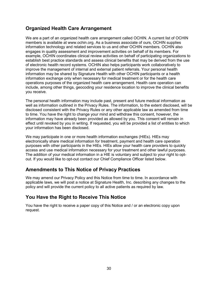### **Organized Health Care Arrangement**

We are a part of an organized health care arrangement called OCHIN. A current list of OCHIN members is available at www.ochin.org. As a business associate of ours, OCHIN supplies information technology and related services to us and other OCHIN members. OCHIN also engages in quality assessment and improvement activities on behalf of its members. For example, OCHIN coordinates clinical review activities on behalf of participating organizations to establish best practice standards and assess clinical benefits that may be derived from the use of electronic health record systems. OCHIN also helps participants work collaboratively to improve the management of internal and external patient referrals. Your personal health information may be shared by Signature Health with other OCHIN participants or a health information exchange only when necessary for medical treatment or for the health care operations purposes of the organized health care arrangement. Health care operation can include, among other things, geocoding your residence location to improve the clinical benefits you receive.

The personal health information may include past, present and future medical information as well as information outlined in the Privacy Rules. The information, to the extent disclosed, will be disclosed consistent with the Privacy Rules or any other applicable law as amended from time to time. You have the right to change your mind and withdraw this consent, however, the information may have already been provided as allowed by you. This consent will remain in effect until revoked by you in writing. If requested, you will be provided a list of entities to which your information has been disclosed.

We may participate in one or more health information exchanges (HIEs). HIEs may electronically share medical information for treatment, payment and health care operation purposes with other participants in the HIEs. HIEs allow your health care providers to quickly access and use medical information necessary for your treatment and other lawful purposes. The addition of your medical information in a HIE is voluntary and subject to your right to optout. If you would like to opt-out contact our Chief Compliance Officer listed below.

### <span id="page-29-0"></span>**Amendments to This Notice of Privacy Practices**

We may amend our Privacy Policy and this Notice from time to time. In accordance with applicable laws, we will post a notice at Signature Health, Inc. describing any changes to the policy and will provide the current policy to all active patients as required by law.

### <span id="page-29-1"></span>**You Have the Right to Receive This Notice**

You have the right to receive a paper copy of this Notice and / or an electronic copy upon request.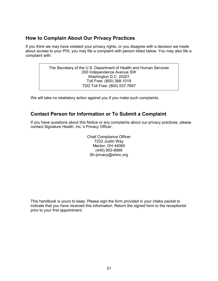### <span id="page-30-0"></span>**How to Complain About Our Privacy Practices**

If you think we may have violated your privacy rights, or you disagree with a decision we made about access to your PHI, you may file a complaint with person listed below. You may also file a complaint with:

> The Secretary of the U.S. Department of Health and Human Services 200 Independence Avenue SW Washington D.C. 20201 Toll Free: (800) 368-1019 TDD Toll Free: (800) 537-7697

We will take no retaliatory action against you if you make such complaints.

### <span id="page-30-1"></span>**Contact Person for Information or To Submit a Complaint**

If you have questions about this Notice or any complaints about our privacy practices, please contact Signature Health, Inc.'s Privacy Officer:

> Chief Compliance Officer 7232 Justin Way Mentor, OH 44060 (440) 953-9999 Sh[-privacy@shinc.org](mailto:privacy@shinc.org)

This handbook is yours to keep. Please sign the form provided in your intake packet to indicate that you have received this information. Return the signed form to the receptionist prior to your first appointment.